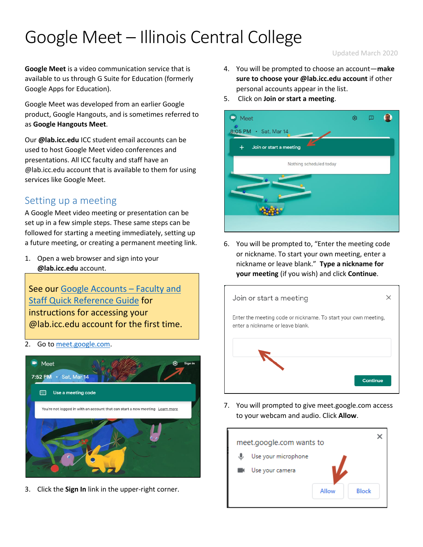# Google Meet – Illinois Central College

#### Updated March 2020

**Google Meet** is a video communication service that is available to us through G Suite for Education (formerly Google Apps for Education).

Google Meet was developed from an earlier Google product, Google Hangouts, and is sometimes referred to as **Google Hangouts Meet**.

Our **@lab.icc.edu** ICC student email accounts can be used to host Google Meet video conferences and presentations. All ICC faculty and staff have an @lab.icc.edu account that is available to them for using services like Google Meet.

## Setting up a meeting

A Google Meet video meeting or presentation can be set up in a few simple steps. These same steps can be followed for starting a meeting immediately, setting up a future meeting, or creating a permanent meeting link.

1. Open a web browser and sign into your **@lab.icc.edu** account.

See our [Google Accounts](http://icc.edu/faculty-staff/files/2014/05/ICC-Instructional-Technology-GoogleGuide_FacultyStaff.pdf) – Faculty and [Staff Quick Reference Guide](http://icc.edu/faculty-staff/files/2014/05/ICC-Instructional-Technology-GoogleGuide_FacultyStaff.pdf) for instructions for accessing your @lab.icc.edu account for the first time.

2. Go to [meet.google.com.](https://meet.google.com/)



3. Click the **Sign In** link in the upper-right corner.

- 4. You will be prompted to choose an account—**make sure to choose your @lab.icc.edu account** if other personal accounts appear in the list.
- 5. Click on **Join or start a meeting**.



6. You will be prompted to, "Enter the meeting code or nickname. To start your own meeting, enter a nickname or leave blank." **Type a nickname for your meeting** (if you wish) and click **Continue**.



7. You will prompted to give meet.google.com access to your webcam and audio. Click **Allow**.